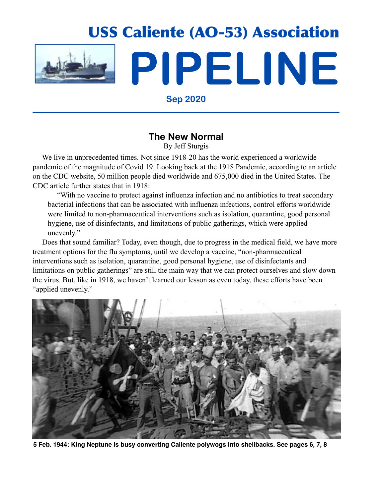

**Sep 2020**

## **The New Normal**

By Jeff Sturgis

We live in unprecedented times. Not since 1918-20 has the world experienced a worldwide pandemic of the magnitude of Covid 19. Looking back at the 1918 Pandemic, according to an article on the CDC website, 50 million people died worldwide and 675,000 died in the United States. The CDC article further states that in 1918:

 "With no vaccine to protect against influenza infection and no antibiotics to treat secondary bacterial infections that can be associated with influenza infections, control efforts worldwide were limited to non-pharmaceutical interventions such as isolation, quarantine, good personal hygiene, use of disinfectants, and limitations of public gatherings, which were applied unevenly."

 Does that sound familiar? Today, even though, due to progress in the medical field, we have more treatment options for the flu symptoms, until we develop a vaccine, "non-pharmaceutical interventions such as isolation, quarantine, good personal hygiene, use of disinfectants and limitations on public gatherings" are still the main way that we can protect ourselves and slow down the virus. But, like in 1918, we haven't learned our lesson as even today, these efforts have been "applied unevenly."



**5 Feb. 1944: King Neptune is busy converting Caliente polywogs into shellbacks. See pages 6, 7, 8**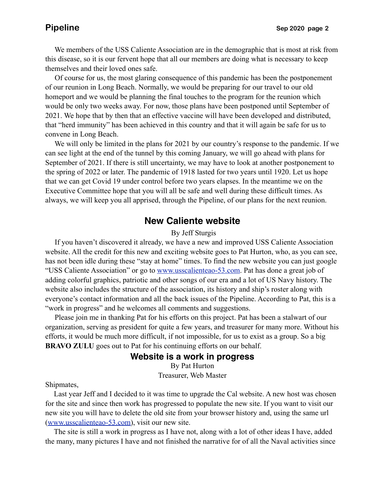We members of the USS Caliente Association are in the demographic that is most at risk from this disease, so it is our fervent hope that all our members are doing what is necessary to keep themselves and their loved ones safe.

 Of course for us, the most glaring consequence of this pandemic has been the postponement of our reunion in Long Beach. Normally, we would be preparing for our travel to our old homeport and we would be planning the final touches to the program for the reunion which would be only two weeks away. For now, those plans have been postponed until September of 2021. We hope that by then that an effective vaccine will have been developed and distributed, that "herd immunity" has been achieved in this country and that it will again be safe for us to convene in Long Beach.

 We will only be limited in the plans for 2021 by our country's response to the pandemic. If we can see light at the end of the tunnel by this coming January, we will go ahead with plans for September of 2021. If there is still uncertainty, we may have to look at another postponement to the spring of 2022 or later. The pandemic of 1918 lasted for two years until 1920. Let us hope that we can get Covid 19 under control before two years elapses. In the meantime we on the Executive Committee hope that you will all be safe and well during these difficult times. As always, we will keep you all apprised, through the Pipeline, of our plans for the next reunion.

### **New Caliente website**

### By Jeff Sturgis

 If you haven't discovered it already, we have a new and improved USS Caliente Association website. All the credit for this new and exciting website goes to Pat Hurton, who, as you can see, has not been idle during these "stay at home" times. To find the new website you can just google "USS Caliente Association" or go to [www.usscalienteao-53.com.](http://www.usscalienteao-53.com) Pat has done a great job of adding colorful graphics, patriotic and other songs of our era and a lot of US Navy history. The website also includes the structure of the association, its history and ship's roster along with everyone's contact information and all the back issues of the Pipeline. According to Pat, this is a "work in progress" and he welcomes all comments and suggestions.

 Please join me in thanking Pat for his efforts on this project. Pat has been a stalwart of our organization, serving as president for quite a few years, and treasurer for many more. Without his efforts, it would be much more difficult, if not impossible, for us to exist as a group. So a big **BRAVO ZULU** goes out to Pat for his continuing efforts on our behalf.

### **Website is a work in progress**

By Pat Hurton Treasurer, Web Master

Shipmates,

 Last year Jeff and I decided to it was time to upgrade the Cal website. A new host was chosen for the site and since then work has progressed to populate the new site. If you want to visit our new site you will have to delete the old site from your browser history and, using the same url [\(www.usscalienteao-53.com\)](http://www.usscalienteao-53.com), visit our new site.

 The site is still a work in progress as I have not, along with a lot of other ideas I have, added the many, many pictures I have and not finished the narrative for of all the Naval activities since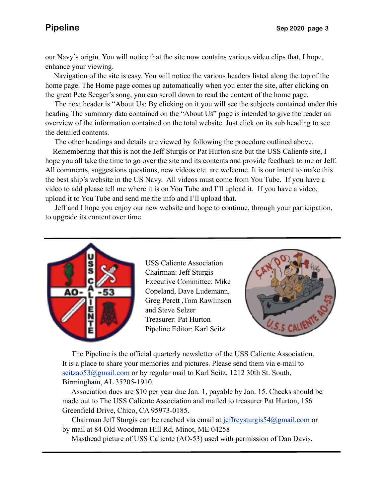our Navy's origin. You will notice that the site now contains various video clips that, I hope, enhance your viewing.

 Navigation of the site is easy. You will notice the various headers listed along the top of the home page. The Home page comes up automatically when you enter the site, after clicking on the great Pete Seeger's song, you can scroll down to read the content of the home page.

 heading.The summary data contained on the "About Us" page is intended to give the reader an The next header is "About Us: By clicking on it you will see the subjects contained under this overview of the information contained on the total website. Just click on its sub heading to see the detailed contents.

The other headings and details are viewed by following the procedure outlined above.

 Remembering that this is not the Jeff Sturgis or Pat Hurton site but the USS Caliente site, I hope you all take the time to go over the site and its contents and provide feedback to me or Jeff. All comments, suggestions questions, new videos etc. are welcome. It is our intent to make this the best ship's website in the US Navy. All videos must come from You Tube. If you have a video to add please tell me where it is on You Tube and I'll upload it. If you have a video, upload it to You Tube and send me the info and I'll upload that.

 Jeff and I hope you enjoy our new website and hope to continue, through your participation, to upgrade its content over time.



USS Caliente Association Chairman: Jeff Sturgis Executive Committee: Mike Copeland, Dave Ludemann, Greg Perett ,Tom Rawlinson and Steve Selzer Treasurer: Pat Hurton Pipeline Editor: Karl Seitz



 The Pipeline is the official quarterly newsletter of the USS Caliente Association. It is a place to share your memories and pictures. Please send them via e-mail to seitzao53@gmail.com or by regular mail to Karl Seitz, 1212 30th St. South, Birmingham, AL 35205-1910.

 Association dues are \$10 per year due Jan. 1, payable by Jan. 15. Checks should be made out to The USS Caliente Association and mailed to treasurer Pat Hurton, 156 Greenfield Drive, Chico, CA 95973-0185.

 Chairman Jeff Sturgis can be reached via email at [jeffreysturgis54@gmail.com](mailto:jeffreysturgis54@gmail.com) or by mail at 84 Old Woodman Hill Rd, Minot, ME 04258

Masthead picture of USS Caliente (AO-53) used with permission of Dan Davis.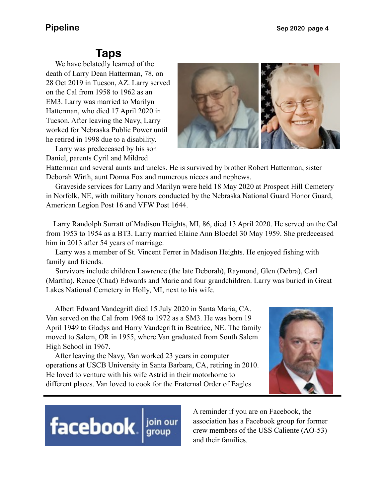# **Taps**

 We have belatedly learned of the death of Larry Dean Hatterman, 78, on 28 Oct 2019 in Tucson, AZ. Larry served on the Cal from 1958 to 1962 as an EM3. Larry was married to Marilyn Hatterman, who died 17 April 2020 in Tucson. After leaving the Navy, Larry worked for Nebraska Public Power until he retired in 1998 due to a disability.

 Larry was predeceased by his son Daniel, parents Cyril and Mildred



Hatterman and several aunts and uncles. He is survived by brother Robert Hatterman, sister Deborah Wirth, aunt Donna Fox and numerous nieces and nephews.

 Graveside services for Larry and Marilyn were held 18 May 2020 at Prospect Hill Cemetery in Norfolk, NE, with military honors conducted by the Nebraska National Guard Honor Guard, American Legion Post 16 and VFW Post 1644.

 Larry Randolph Surratt of Madison Heights, MI, 86, died 13 April 2020. He served on the Cal from 1953 to 1954 as a BT3. Larry married Elaine Ann Bloedel 30 May 1959. She predeceased him in 2013 after 54 years of marriage.

 Larry was a member of St. Vincent Ferrer in Madison Heights. He enjoyed fishing with family and friends.

 Survivors include children Lawrence (the late Deborah), Raymond, Glen (Debra), Carl (Martha), Renee (Chad) Edwards and Marie and four grandchildren. Larry was buried in Great Lakes National Cemetery in Holly, MI, next to his wife.

 Albert Edward Vandegrift died 15 July 2020 in Santa Maria, CA. Van served on the Cal from 1968 to 1972 as a SM3. He was born 19 April 1949 to Gladys and Harry Vandegrift in Beatrice, NE. The family moved to Salem, OR in 1955, where Van graduated from South Salem High School in 1967.

 After leaving the Navy, Van worked 23 years in computer operations at USCB University in Santa Barbara, CA, retiring in 2010. He loved to venture with his wife Astrid in their motorhome to different places. Van loved to cook for the Fraternal Order of Eagles



# facebook. | join our<br>| group

A reminder if you are on Facebook, the association has a Facebook group for former crew members of the USS Caliente (AO-53) and their families.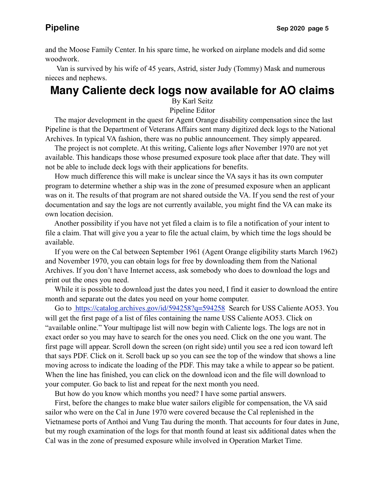and the Moose Family Center. In his spare time, he worked on airplane models and did some woodwork.

 Van is survived by his wife of 45 years, Astrid, sister Judy (Tommy) Mask and numerous nieces and nephews.

## **Many Caliente deck logs now available for AO claims**

By Karl Seitz

Pipeline Editor

 The major development in the quest for Agent Orange disability compensation since the last Pipeline is that the Department of Veterans Affairs sent many digitized deck logs to the National Archives. In typical VA fashion, there was no public announcement. They simply appeared.

 The project is not complete. At this writing, Caliente logs after November 1970 are not yet available. This handicaps those whose presumed exposure took place after that date. They will not be able to include deck logs with their applications for benefits.

 How much difference this will make is unclear since the VA says it has its own computer program to determine whether a ship was in the zone of presumed exposure when an applicant was on it. The results of that program are not shared outside the VA. If you send the rest of your documentation and say the logs are not currently available, you might find the VA can make its own location decision.

 Another possibility if you have not yet filed a claim is to file a notification of your intent to file a claim. That will give you a year to file the actual claim, by which time the logs should be available.

 If you were on the Cal between September 1961 (Agent Orange eligibility starts March 1962) and November 1970, you can obtain logs for free by downloading them from the National Archives. If you don't have Internet access, ask somebody who does to download the logs and print out the ones you need.

 While it is possible to download just the dates you need, I find it easier to download the entire month and separate out the dates you need on your home computer.

Go to <https://catalog.archives.gov/id/594258?q=594258> Search for USS Caliente AO53. You will get the first page of a list of files containing the name USS Caliente AO53. Click on "available online." Your multipage list will now begin with Caliente logs. The logs are not in exact order so you may have to search for the ones you need. Click on the one you want. The first page will appear. Scroll down the screen (on right side) until you see a red icon toward left that says PDF. Click on it. Scroll back up so you can see the top of the window that shows a line moving across to indicate the loading of the PDF. This may take a while to appear so be patient. When the line has finished, you can click on the download icon and the file will download to your computer. Go back to list and repeat for the next month you need.

But how do you know which months you need? I have some partial answers.

 First, before the changes to make blue water sailors eligible for compensation, the VA said sailor who were on the Cal in June 1970 were covered because the Cal replenished in the Vietnamese ports of Anthoi and Vung Tau during the month. That accounts for four dates in June, but my rough examination of the logs for that month found at least six additional dates when the Cal was in the zone of presumed exposure while involved in Operation Market Time.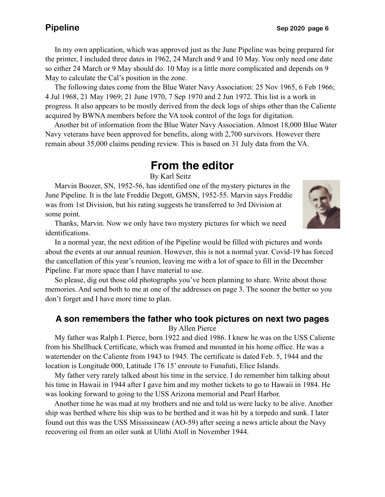In my own application, which was approved just as the June Pipeline was being prepared for the printer, I included three dates in 1962, 24 March and 9 and 10 May. You only need one date so either 24 March or 9 May should do. 10 May is a little more complicated and depends on 9 May to calculate the Cal's position in the zone.

 The following dates come from the Blue Water Navy Association: 25 Nov 1965, 6 Feb 1966; 4 Jul 1968, 21 May 1969; 21 June 1970, 7 Sep 1970 and 2 Jun 1972. This list is a work in progress. It also appears to be mostly derived from the deck logs of ships other than the Caliente acquired by BWNA members before the VA took control of the logs for digitation.

 Another bit of information from the Blue Water Navy Association. Almost 18,000 Blue Water Navy veterans have been approved for benefits, along with 2,700 survivors. However there remain about 35,000 claims pending review. This is based on 31 July data from the VA.

# **From the editor**

By Karl Seitz

 Marvin Boozer, SN, 1952-56, has identified one of the mystery pictures in the June Pipeline. It is the late Freddie Degott, GMSN, 1952-55. Marvin says Freddie was from 1st Division, but his rating suggests he transferred to 3rd Division at some point.



 Thanks, Marvin. Now we only have two mystery pictures for which we need identifications.

 In a normal year, the next edition of the Pipeline would be filled with pictures and words about the events at our annual reunion. However, this is not a normal year. Covid-19 has forced the cancellation of this year's reunion, leaving me with a lot of space to fill in the December Pipeline. Far more space than I have material to use.

 So please, dig out those old photographs you've been planning to share. Write about those memories. And send both to me at one of the addresses on page 3. The sooner the better so you don't forget and I have more time to plan.

### **A son remembers the father who took pictures on next two pages**

By Allen Pierce

 My father was Ralph I. Pierce, born 1922 and died 1986. I knew he was on the USS Caliente from his Shellback Certificate, which was framed and mounted in his home office. He was a watertender on the Caliente from 1943 to 1945. The certificate is dated Feb. 5, 1944 and the location is Longitude 000, Latitude 176 15' enroute to Funafuti, Elice Islands.

 My father very rarely talked about his time in the service. I do remember him talking about his time in Hawaii in 1944 after I gave him and my mother tickets to go to Hawaii in 1984. He was looking forward to going to the USS Arizona memorial and Pearl Harbor.

 Another time he was mad at my brothers and me and told us were lucky to be alive. Another ship was berthed where his ship was to be berthed and it was hit by a torpedo and sunk. I later found out this was the USS Mississineaw (AO-59) after seeing a news article about the Navy recovering oil from an oiler sunk at Ulithi Atoll in November 1944.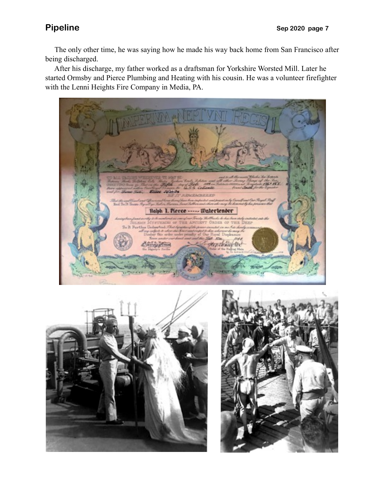The only other time, he was saying how he made his way back home from San Francisco after being discharged.

 After his discharge, my father worked as a draftsman for Yorkshire Worsted Mill. Later he started Ormsby and Pierce Plumbing and Heating with his cousin. He was a volunteer firefighter with the Lenni Heights Fire Company in Media, PA.